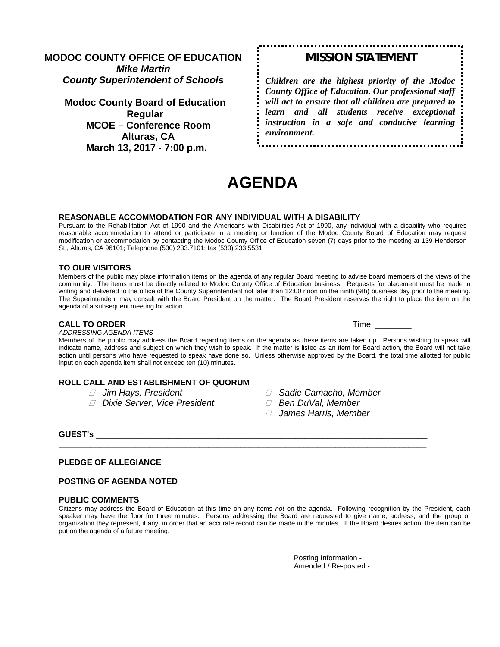**MODOC COUNTY OFFICE OF EDUCATION** *Mike Martin County Superintendent of Schools*

**Modoc County Board of Education Regular MCOE – Conference Room Alturas, CA March 13, 2017 - 7:00 p.m.**

# *MISSION STATEMENT*

*Children are the highest priority of the Modoc County Office of Education. Our professional staff will act to ensure that all children are prepared to learn and all students receive exceptional instruction in a safe and conducive learning environment.*

# **AGENDA**

#### **REASONABLE ACCOMMODATION FOR ANY INDIVIDUAL WITH A DISABILITY**

Pursuant to the Rehabilitation Act of 1990 and the Americans with Disabilities Act of 1990, any individual with a disability who requires reasonable accommodation to attend or participate in a meeting or function of the Modoc County Board of Education may request modification or accommodation by contacting the Modoc County Office of Education seven (7) days prior to the meeting at 139 Henderson St., Alturas, CA 96101; Telephone (530) 233.7101; fax (530) 233.5531

#### **TO OUR VISITORS**

Members of the public may place information items on the agenda of any regular Board meeting to advise board members of the views of the community. The items must be directly related to Modoc County Office of Education business. Requests for placement must be made in writing and delivered to the office of the County Superintendent not later than 12:00 noon on the ninth (9th) business day prior to the meeting. The Superintendent may consult with the Board President on the matter. The Board President reserves the right to place the item on the agenda of a subsequent meeting for action.

#### **CALL TO ORDER TIME:**  $\blacksquare$

*ADDRESSING AGENDA ITEMS*

Members of the public may address the Board regarding items on the agenda as these items are taken up. Persons wishing to speak will indicate name, address and subject on which they wish to speak. If the matter is listed as an item for Board action, the Board will not take action until persons who have requested to speak have done so. Unless otherwise approved by the Board, the total time allotted for public input on each agenda item shall not exceed ten (10) minutes.

### **ROLL CALL AND ESTABLISHMENT OF QUORUM**

- 
- *Dixie Server, Vice President Ben DuVal, Member*
- *Jim Hays, President Sadie Camacho, Member*
	-
	- *James Harris, Member*

**GUEST's** \_\_\_\_\_\_\_\_\_\_\_\_\_\_\_\_\_\_\_\_\_\_\_\_\_\_\_\_\_\_\_\_\_\_\_\_\_\_\_\_\_\_\_\_\_\_\_\_\_\_\_\_\_\_\_\_\_\_\_\_\_\_\_\_\_\_\_\_\_\_\_\_\_

#### **PLEDGE OF ALLEGIANCE**

#### **POSTING OF AGENDA NOTED**

#### **PUBLIC COMMENTS**

Citizens may address the Board of Education at this time on any items *not* on the agenda. Following recognition by the President, each speaker may have the floor for three minutes. Persons addressing the Board are requested to give name, address, and the group or organization they represent, if any, in order that an accurate record can be made in the minutes. If the Board desires action, the item can be put on the agenda of a future meeting.

\_\_\_\_\_\_\_\_\_\_\_\_\_\_\_\_\_\_\_\_\_\_\_\_\_\_\_\_\_\_\_\_\_\_\_\_\_\_\_\_\_\_\_\_\_\_\_\_\_\_\_\_\_\_\_\_\_\_\_\_\_\_\_\_\_\_\_\_\_\_\_\_\_\_\_\_\_\_\_\_\_

Posting Information - Amended / Re-posted -